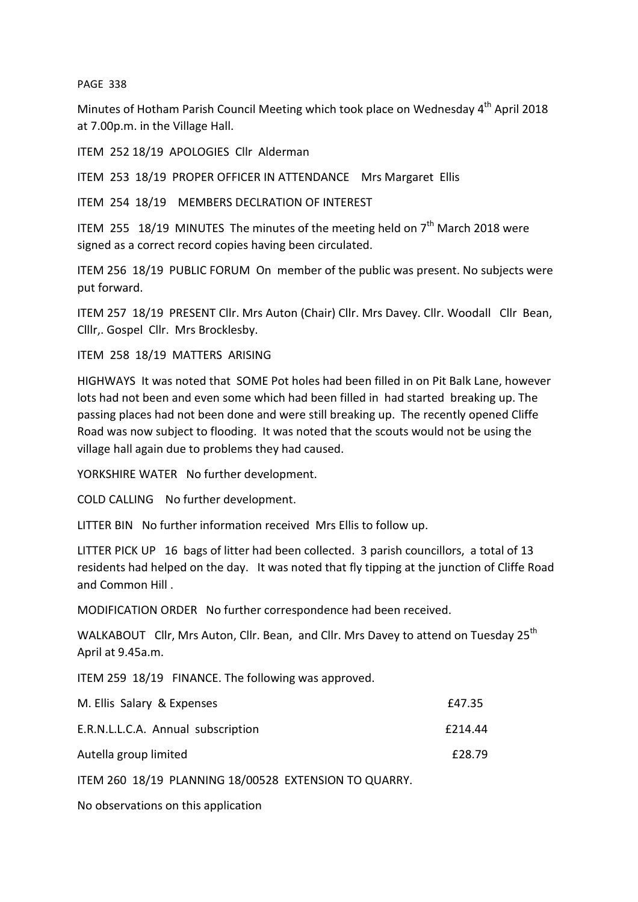PAGE 338

Minutes of Hotham Parish Council Meeting which took place on Wednesday 4<sup>th</sup> April 2018 at 7.00p.m. in the Village Hall.

ITEM 252 18/19 APOLOGIES Cllr Alderman

ITEM 253 18/19 PROPER OFFICER IN ATTENDANCE Mrs Margaret Ellis

ITEM 254 18/19 MEMBERS DECLRATION OF INTEREST

ITEM 255 18/19 MINUTES The minutes of the meeting held on  $7<sup>th</sup>$  March 2018 were signed as a correct record copies having been circulated.

ITEM 256 18/19 PUBLIC FORUM On member of the public was present. No subjects were put forward.

ITEM 257 18/19 PRESENT Cllr. Mrs Auton (Chair) Cllr. Mrs Davey. Cllr. Woodall Cllr Bean, Clllr,. Gospel Cllr. Mrs Brocklesby.

ITEM 258 18/19 MATTERS ARISING

HIGHWAYS It was noted that SOME Pot holes had been filled in on Pit Balk Lane, however lots had not been and even some which had been filled in had started breaking up. The passing places had not been done and were still breaking up. The recently opened Cliffe Road was now subject to flooding. It was noted that the scouts would not be using the village hall again due to problems they had caused.

YORKSHIRE WATER No further development.

COLD CALLING No further development.

LITTER BIN No further information received Mrs Ellis to follow up.

LITTER PICK UP 16 bags of litter had been collected. 3 parish councillors, a total of 13 residents had helped on the day. It was noted that fly tipping at the junction of Cliffe Road and Common Hill .

MODIFICATION ORDER No further correspondence had been received.

WALKABOUT Cllr, Mrs Auton, Cllr. Bean, and Cllr. Mrs Davey to attend on Tuesday 25<sup>th</sup> April at 9.45a.m.

ITEM 259 18/19 FINANCE. The following was approved.

| M. Ellis Salary & Expenses         | £47.35  |
|------------------------------------|---------|
| E.R.N.L.L.C.A. Annual subscription | f214.44 |
| Autella group limited              | £28.79  |

ITEM 260 18/19 PLANNING 18/00528 EXTENSION TO QUARRY.

No observations on this application